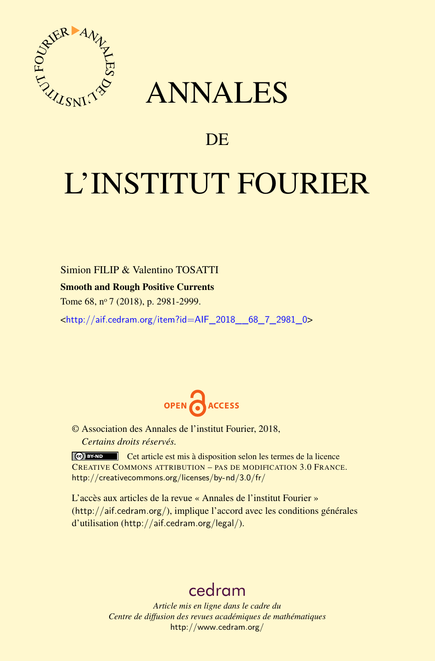

## ANNALES

### **DE**

# L'INSTITUT FOURIER

Simion FILIP & Valentino TOSATTI

#### Smooth and Rough Positive Currents

Tome 68, n<sup>o</sup> 7 (2018), p. 2981-2999.

<[http://aif.cedram.org/item?id=AIF\\_2018\\_\\_68\\_7\\_2981\\_0](http://aif.cedram.org/item?id=AIF_2018__68_7_2981_0)>



© Association des Annales de l'institut Fourier, 2018, *Certains droits réservés.*

Cet article est mis à disposition selon les termes de la licence CREATIVE COMMONS ATTRIBUTION – PAS DE MODIFICATION 3.0 FRANCE. <http://creativecommons.org/licenses/by-nd/3.0/fr/>

L'accès aux articles de la revue « Annales de l'institut Fourier » (<http://aif.cedram.org/>), implique l'accord avec les conditions générales d'utilisation (<http://aif.cedram.org/legal/>).

## [cedram](http://www.cedram.org/)

*Article mis en ligne dans le cadre du Centre de diffusion des revues académiques de mathématiques* <http://www.cedram.org/>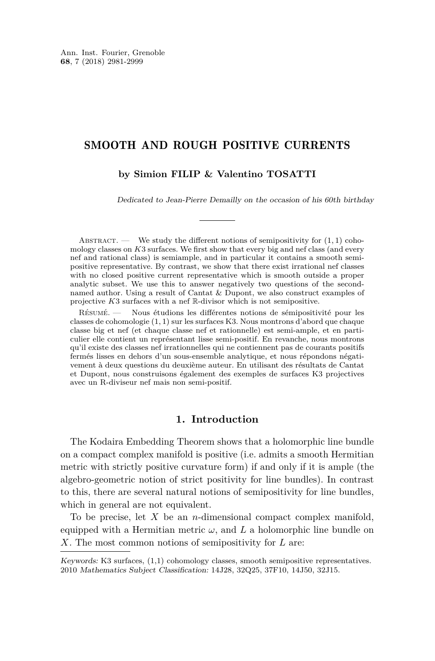#### SMOOTH AND ROUGH POSITIVE CURRENTS

#### **by Simion FILIP & Valentino TOSATTI**

Dedicated to Jean-Pierre Demailly on the occasion of his 60th birthday

ABSTRACT. — We study the different notions of semipositivity for  $(1, 1)$  cohomology classes on *K*3 surfaces. We first show that every big and nef class (and every nef and rational class) is semiample, and in particular it contains a smooth semipositive representative. By contrast, we show that there exist irrational nef classes with no closed positive current representative which is smooth outside a proper analytic subset. We use this to answer negatively two questions of the secondnamed author. Using a result of Cantat & Dupont, we also construct examples of projective *K*3 surfaces with a nef R-divisor which is not semipositive.

Résumé. — Nous étudions les différentes notions de sémipositivité pour les classes de cohomologie (1*,* 1) sur les surfaces K3. Nous montrons d'abord que chaque classe big et nef (et chaque classe nef et rationnelle) est semi-ample, et en particulier elle contient un représentant lisse semi-positif. En revanche, nous montrons qu'il existe des classes nef irrationnelles qui ne contiennent pas de courants positifs fermés lisses en dehors d'un sous-ensemble analytique, et nous répondons négativement à deux questions du deuxième auteur. En utilisant des résultats de Cantat et Dupont, nous construisons également des exemples de surfaces K3 projectives avec un R-diviseur nef mais non semi-positif.

#### **1. Introduction**

The Kodaira Embedding Theorem shows that a holomorphic line bundle on a compact complex manifold is positive (i.e. admits a smooth Hermitian metric with strictly positive curvature form) if and only if it is ample (the algebro-geometric notion of strict positivity for line bundles). In contrast to this, there are several natural notions of semipositivity for line bundles, which in general are not equivalent.

To be precise, let *X* be an *n*-dimensional compact complex manifold, equipped with a Hermitian metric  $\omega$ , and  $\bar{L}$  a holomorphic line bundle on *X*. The most common notions of semipositivity for *L* are:

Keywords: K3 surfaces, (1,1) cohomology classes, smooth semipositive representatives. 2010 Mathematics Subject Classification: 14J28, 32Q25, 37F10, 14J50, 32J15.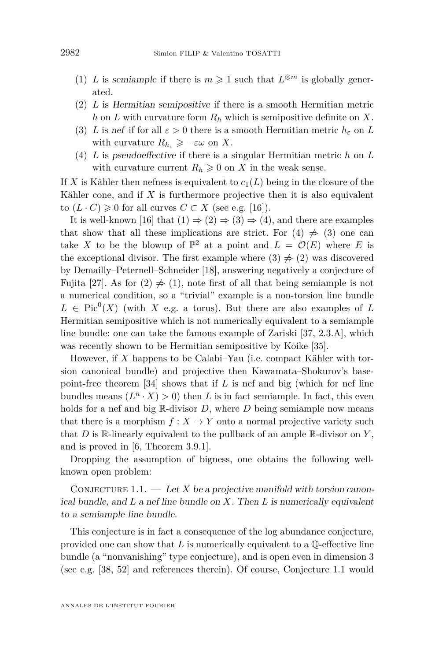- <span id="page-2-0"></span>(1) *L* is semiample if there is  $m \geq 1$  such that  $L^{\otimes m}$  is globally generated.
- <span id="page-2-1"></span>(2) *L* is Hermitian semipositive if there is a smooth Hermitian metric *h* on *L* with curvature form *R<sup>h</sup>* which is semipositive definite on *X*.
- <span id="page-2-2"></span>(3) *L* is nef if for all  $\varepsilon > 0$  there is a smooth Hermitian metric  $h_{\varepsilon}$  on *L* with curvature  $R_{h_{\varepsilon}} \geqslant -\varepsilon\omega$  on X.
- <span id="page-2-3"></span>(4) *L* is pseudoeffective if there is a singular Hermitian metric *h* on *L* with curvature current  $R_h \geq 0$  on X in the weak sense.

If *X* is Kähler then nefness is equivalent to  $c_1(L)$  being in the closure of the Kähler cone, and if *X* is furthermore projective then it is also equivalent to  $(L \cdot C) \geq 0$  for all curves  $C \subset X$  (see e.g. [\[16\]](#page-17-0)).

It is well-known [\[16\]](#page-17-0) that  $(1) \Rightarrow (2) \Rightarrow (3) \Rightarrow (4)$  $(1) \Rightarrow (2) \Rightarrow (3) \Rightarrow (4)$  $(1) \Rightarrow (2) \Rightarrow (3) \Rightarrow (4)$  $(1) \Rightarrow (2) \Rightarrow (3) \Rightarrow (4)$  $(1) \Rightarrow (2) \Rightarrow (3) \Rightarrow (4)$  $(1) \Rightarrow (2) \Rightarrow (3) \Rightarrow (4)$  $(1) \Rightarrow (2) \Rightarrow (3) \Rightarrow (4)$ , and there are examples that show that all these implications are strict. For  $(4) \neq (3)$  $(4) \neq (3)$  $(4) \neq (3)$  one can take X to be the blowup of  $\mathbb{P}^2$  at a point and  $L = \mathcal{O}(E)$  where E is the exceptional divisor. The first example where  $(3) \neq (2)$  $(3) \neq (2)$  $(3) \neq (2)$  was discovered by Demailly–Peternell–Schneider [\[18\]](#page-17-1), answering negatively a conjecture of Fujita [\[27\]](#page-18-0). As for  $(2) \neq (1)$  $(2) \neq (1)$  $(2) \neq (1)$ , note first of all that being semiample is not a numerical condition, so a "trivial" example is a non-torsion line bundle  $L \in Pic^{0}(X)$  (with *X* e.g. a torus). But there are also examples of *L* Hermitian semipositive which is not numerically equivalent to a semiample line bundle: one can take the famous example of Zariski [\[37,](#page-18-1) 2.3.A], which was recently shown to be Hermitian semipositive by Koike [\[35\]](#page-18-2).

However, if *X* happens to be Calabi–Yau (i.e. compact Kähler with torsion canonical bundle) and projective then Kawamata–Shokurov's basepoint-free theorem [\[34\]](#page-18-3) shows that if *L* is nef and big (which for nef line bundles means  $(L^n \cdot X) > 0$  then *L* is in fact semiample. In fact, this even holds for a nef and big R-divisor *D*, where *D* being semiample now means that there is a morphism  $f: X \to Y$  onto a normal projective variety such that  $D$  is  $\mathbb R$ -linearly equivalent to the pullback of an ample  $\mathbb R$ -divisor on  $Y$ , and is proved in [\[6,](#page-17-2) Theorem 3.9.1].

Dropping the assumption of bigness, one obtains the following wellknown open problem:

<span id="page-2-4"></span>CONJECTURE 1.1.  $\qquad$  Let *X* be a projective manifold with torsion canonical bundle, and *L* a nef line bundle on *X*. Then *L* is numerically equivalent to a semiample line bundle.

This conjecture is in fact a consequence of the log abundance conjecture, provided one can show that *L* is numerically equivalent to a Q-effective line bundle (a "nonvanishing" type conjecture), and is open even in dimension 3 (see e.g. [\[38,](#page-18-4) [52\]](#page-19-0) and references therein). Of course, Conjecture [1.1](#page-2-4) would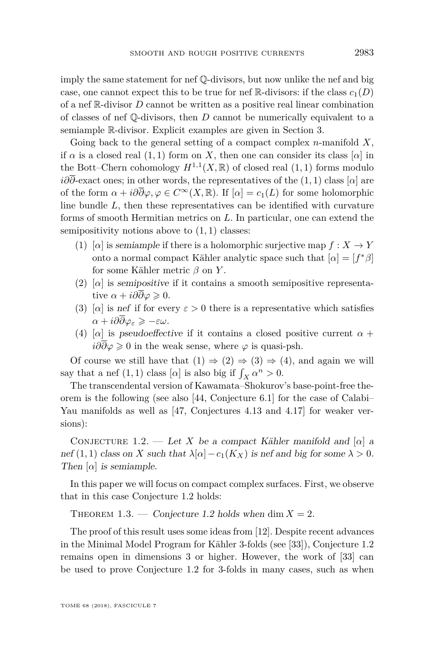imply the same statement for nef Q-divisors, but now unlike the nef and big case, one cannot expect this to be true for nef  $\mathbb{R}$ -divisors: if the class  $c_1(D)$ of a nef R-divisor *D* cannot be written as a positive real linear combination of classes of nef Q-divisors, then *D* cannot be numerically equivalent to a semiample R-divisor. Explicit examples are given in Section [3.](#page-10-0)

Going back to the general setting of a compact complex *n*-manifold *X*, if  $\alpha$  is a closed real (1, 1) form on *X*, then one can consider its class [ $\alpha$ ] in the Bott–Chern cohomology  $H^{1,1}(X,\mathbb{R})$  of closed real  $(1,1)$  forms modulo *i∂∂*-exact ones; in other words, the representatives of the (1*,* 1) class [*α*] are of the form  $\alpha + i\partial\overline{\partial}\varphi, \varphi \in C^{\infty}(X,\mathbb{R})$ . If  $[\alpha] = c_1(L)$  for some holomorphic line bundle *L*, then these representatives can be identified with curvature forms of smooth Hermitian metrics on *L*. In particular, one can extend the semipositivity notions above to (1*,* 1) classes:

- <span id="page-3-0"></span>(1) [ $\alpha$ ] is semiample if there is a holomorphic surjective map  $f: X \to Y$ onto a normal compact Kähler analytic space such that  $[\alpha] = [f^*\beta]$ for some Kähler metric *β* on *Y* .
- <span id="page-3-1"></span>(2) [ $\alpha$ ] is semipositive if it contains a smooth semipositive representative  $\alpha + i\partial\partial\varphi \geq 0$ .
- <span id="page-3-2"></span>(3) [ $\alpha$ ] is nef if for every  $\varepsilon > 0$  there is a representative which satisfies  $\alpha + i\partial\overline{\partial}\varphi_{\varepsilon} \geqslant -\varepsilon\omega.$
- <span id="page-3-3"></span>(4) [*α*] is pseudoeffective if it contains a closed positive current  $\alpha$  +  $i\partial\partial\varphi \geq 0$  in the weak sense, where  $\varphi$  is quasi-psh.

Of course we still have that  $(1) \Rightarrow (2) \Rightarrow (3) \Rightarrow (4)$  $(1) \Rightarrow (2) \Rightarrow (3) \Rightarrow (4)$  $(1) \Rightarrow (2) \Rightarrow (3) \Rightarrow (4)$  $(1) \Rightarrow (2) \Rightarrow (3) \Rightarrow (4)$  $(1) \Rightarrow (2) \Rightarrow (3) \Rightarrow (4)$  $(1) \Rightarrow (2) \Rightarrow (3) \Rightarrow (4)$  $(1) \Rightarrow (2) \Rightarrow (3) \Rightarrow (4)$ , and again we will say that a nef  $(1, 1)$  class  $[\alpha]$  is also big if  $\int_X \alpha^n > 0$ .

The transcendental version of Kawamata–Shokurov's base-point-free theorem is the following (see also [\[44,](#page-18-5) Conjecture 6.1] for the case of Calabi– Yau manifolds as well as [\[47,](#page-18-6) Conjectures 4.13 and 4.17] for weaker versions):

<span id="page-3-4"></span>CONJECTURE 1.2. — Let *X* be a compact Kähler manifold and  $[\alpha]$  a nef  $(1, 1)$  class on *X* such that  $\lambda[\alpha] - c_1(K_X)$  is nef and big for some  $\lambda > 0$ . Then  $\alpha$  is semiample.

In this paper we will focus on compact complex surfaces. First, we observe that in this case Conjecture [1.2](#page-3-4) holds:

<span id="page-3-5"></span>THEOREM 1.3. — Conjecture [1.2](#page-3-4) holds when dim  $X = 2$ .

The proof of this result uses some ideas from [\[12\]](#page-17-3). Despite recent advances in the Minimal Model Program for Kähler 3-folds (see [\[33\]](#page-18-7)), Conjecture [1.2](#page-3-4) remains open in dimensions 3 or higher. However, the work of [\[33\]](#page-18-7) can be used to prove Conjecture [1.2](#page-3-4) for 3-folds in many cases, such as when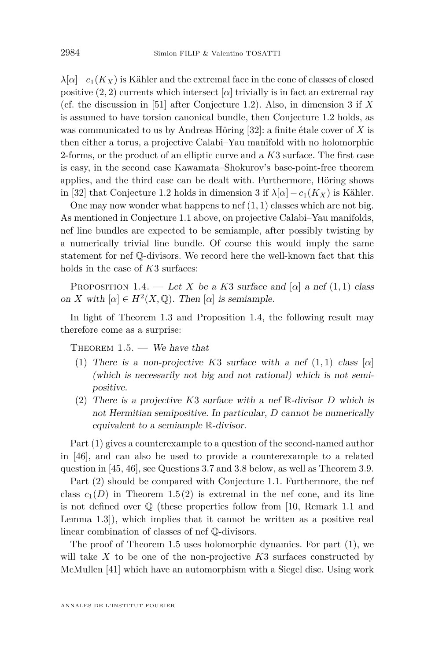$\lambda[\alpha]-c_1(K_X)$  is Kähler and the extremal face in the cone of classes of closed positive  $(2, 2)$  currents which intersect  $[\alpha]$  trivially is in fact an extremal ray (cf. the discussion in [\[51\]](#page-19-1) after Conjecture [1.2\)](#page-3-4). Also, in dimension 3 if *X* is assumed to have torsion canonical bundle, then Conjecture [1.2](#page-3-4) holds, as was communicated to us by Andreas Höring [\[32\]](#page-18-8): a finite étale cover of *X* is then either a torus, a projective Calabi–Yau manifold with no holomorphic 2-forms, or the product of an elliptic curve and a *K*3 surface. The first case is easy, in the second case Kawamata–Shokurov's base-point-free theorem applies, and the third case can be dealt with. Furthermore, Höring shows in [\[32\]](#page-18-8) that Conjecture [1.2](#page-3-4) holds in dimension 3 if  $\lambda[\alpha]-c_1(K_X)$  is Kähler.

One may now wonder what happens to nef (1*,* 1) classes which are not big. As mentioned in Conjecture [1.1](#page-2-4) above, on projective Calabi–Yau manifolds, nef line bundles are expected to be semiample, after possibly twisting by a numerically trivial line bundle. Of course this would imply the same statement for nef Q-divisors. We record here the well-known fact that this holds in the case of *K*3 surfaces:

<span id="page-4-0"></span>PROPOSITION 1.4. — Let *X* be a *K*3 surface and  $[\alpha]$  a nef  $(1,1)$  class on *X* with  $[\alpha] \in H^2(X, \mathbb{Q})$ . Then  $[\alpha]$  is semiample.

In light of Theorem [1.3](#page-3-5) and Proposition [1.4,](#page-4-0) the following result may therefore come as a surprise:

<span id="page-4-3"></span><span id="page-4-1"></span>THEOREM  $1.5.$  — We have that

- (1) There is a non-projective  $K3$  surface with a nef  $(1,1)$  class  $[\alpha]$ (which is necessarily not big and not rational) which is not semipositive.
- <span id="page-4-2"></span>(2) There is a projective *K*3 surface with a nef R-divisor *D* which is not Hermitian semipositive. In particular, *D* cannot be numerically equivalent to a semiample R-divisor.

Part [\(1\)](#page-4-1) gives a counterexample to a question of the second-named author in [\[46\]](#page-18-9), and can also be used to provide a counterexample to a related question in [\[45,](#page-18-10) [46\]](#page-18-9), see Questions [3.7](#page-15-0) and [3.8](#page-15-1) below, as well as Theorem [3.9.](#page-15-2)

Part [\(2\)](#page-4-2) should be compared with Conjecture [1.1.](#page-2-4) Furthermore, the nef class  $c_1(D)$  in Theorem [1.5](#page-4-3)[\(2\)](#page-4-2) is extremal in the nef cone, and its line is not defined over Q (these properties follow from [\[10,](#page-17-4) Remark 1.1 and Lemma 1.3]), which implies that it cannot be written as a positive real linear combination of classes of nef Q-divisors.

The proof of Theorem [1.5](#page-4-3) uses holomorphic dynamics. For part [\(1\)](#page-4-1), we will take *X* to be one of the non-projective *K*3 surfaces constructed by McMullen [\[41\]](#page-18-11) which have an automorphism with a Siegel disc. Using work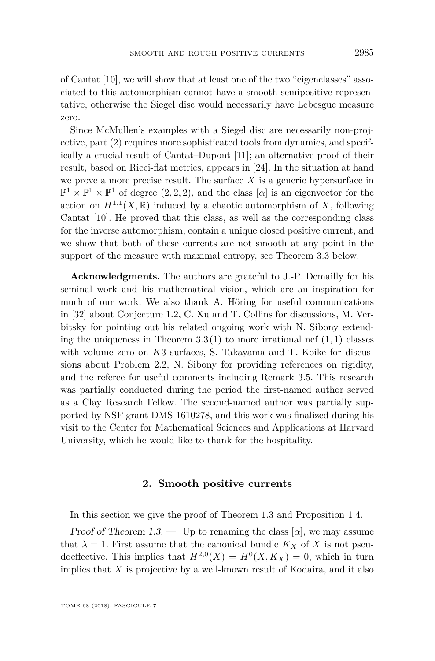of Cantat [\[10\]](#page-17-4), we will show that at least one of the two "eigenclasses" associated to this automorphism cannot have a smooth semipositive representative, otherwise the Siegel disc would necessarily have Lebesgue measure zero.

Since McMullen's examples with a Siegel disc are necessarily non-projective, part [\(2\)](#page-4-2) requires more sophisticated tools from dynamics, and specifically a crucial result of Cantat–Dupont [\[11\]](#page-17-5); an alternative proof of their result, based on Ricci-flat metrics, appears in [\[24\]](#page-17-6). In the situation at hand we prove a more precise result. The surface *X* is a generic hypersurface in  $\mathbb{P}^1 \times \mathbb{P}^1 \times \mathbb{P}^1$  of degree  $(2, 2, 2)$ , and the class  $[\alpha]$  is an eigenvector for the action on  $H^{1,1}(X,\mathbb{R})$  induced by a chaotic automorphism of X, following Cantat [\[10\]](#page-17-4). He proved that this class, as well as the corresponding class for the inverse automorphism, contain a unique closed positive current, and we show that both of these currents are not smooth at any point in the support of the measure with maximal entropy, see Theorem [3.3](#page-11-0) below.

**Acknowledgments.** The authors are grateful to J.-P. Demailly for his seminal work and his mathematical vision, which are an inspiration for much of our work. We also thank A. Höring for useful communications in [\[32\]](#page-18-8) about Conjecture [1.2,](#page-3-4) C. Xu and T. Collins for discussions, M. Verbitsky for pointing out his related ongoing work with N. Sibony extending the uniqueness in Theorem  $3.3(1)$  $3.3(1)$  to more irrational nef  $(1, 1)$  classes with volume zero on *K*3 surfaces, S. Takayama and T. Koike for discussions about Problem [2.2,](#page-9-0) N. Sibony for providing references on rigidity, and the referee for useful comments including Remark [3.5.](#page-14-0) This research was partially conducted during the period the first-named author served as a Clay Research Fellow. The second-named author was partially supported by NSF grant DMS-1610278, and this work was finalized during his visit to the Center for Mathematical Sciences and Applications at Harvard University, which he would like to thank for the hospitality.

#### **2. Smooth positive currents**

In this section we give the proof of Theorem [1.3](#page-3-5) and Proposition [1.4.](#page-4-0)

Proof of Theorem [1.3.](#page-3-5) — Up to renaming the class  $[\alpha]$ , we may assume that  $\lambda = 1$ . First assume that the canonical bundle  $K_X$  of X is not pseudoeffective. This implies that  $H^{2,0}(X) = H^0(X, K_X) = 0$ , which in turn implies that *X* is projective by a well-known result of Kodaira, and it also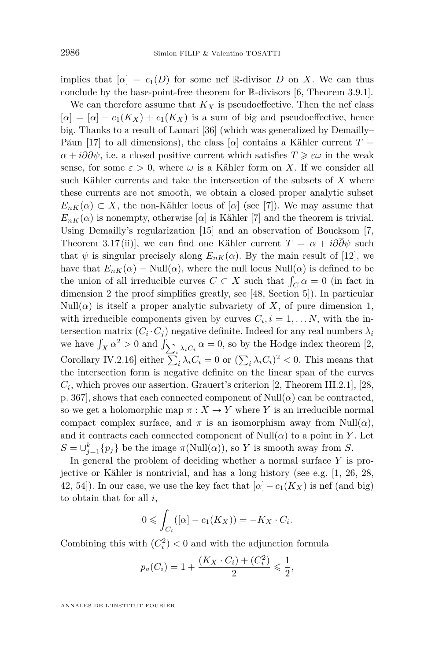implies that  $[\alpha] = c_1(D)$  for some nef R-divisor *D* on *X*. We can thus conclude by the base-point-free theorem for R-divisors [\[6,](#page-17-2) Theorem 3.9.1].

We can therefore assume that  $K_X$  is pseudoeffective. Then the nef class  $[\alpha] = [\alpha] - c_1(K_X) + c_1(K_X)$  is a sum of big and pseudoeffective, hence big. Thanks to a result of Lamari [\[36\]](#page-18-12) (which was generalized by Demailly– Păun [\[17\]](#page-17-7) to all dimensions), the class  $\alpha$  contains a Kähler current  $T =$ *α* + *i∂∂ψ*, i.e. a closed positive current which satisfies  $T \geq \varepsilon \omega$  in the weak sense, for some  $\varepsilon > 0$ , where  $\omega$  is a Kähler form on X. If we consider all such Kähler currents and take the intersection of the subsets of *X* where these currents are not smooth, we obtain a closed proper analytic subset  $E_{nK}(\alpha) \subset X$ , the non-Kähler locus of [*α*] (see [\[7\]](#page-17-8)). We may assume that  $E_{nK}(\alpha)$  is nonempty, otherwise  $\alpha$  is Kähler [\[7\]](#page-17-8) and the theorem is trivial. Using Demailly's regularization [\[15\]](#page-17-9) and an observation of Boucksom [\[7,](#page-17-8) Theorem 3.17(ii)], we can find one Kähler current  $T = \alpha + i\partial\partial\psi$  such that  $\psi$  is singular precisely along  $E_{nK}(\alpha)$ . By the main result of [\[12\]](#page-17-3), we have that  $E_{nK}(\alpha) = \text{Null}(\alpha)$ , where the null locus  $\text{Null}(\alpha)$  is defined to be the union of all irreducible curves  $C \subset X$  such that  $\int_C \alpha = 0$  (in fact in dimension 2 the proof simplifies greatly, see [\[48,](#page-19-2) Section 5]). In particular Null( $\alpha$ ) is itself a proper analytic subvariety of X, of pure dimension 1, with irreducible components given by curves  $C_i, i = 1, \ldots N$ , with the intersection matrix  $(C_i \cdot C_j)$  negative definite. Indeed for any real numbers  $\lambda_i$ we have  $\int_X \alpha^2 > 0$  and  $\int_{\sum_i \lambda_i C_i} \alpha = 0$ , so by the Hodge index theorem [\[2,](#page-16-0) Corollary IV.2.16] either  $\sum_i \lambda_i C_i = 0$  or  $(\sum_i \lambda_i C_i)^2 < 0$ . This means that the intersection form is negative definite on the linear span of the curves  $C_i$ , which proves our assertion. Grauert's criterion [\[2,](#page-16-0) Theorem III.2.1], [\[28,](#page-18-13) p. 367], shows that each connected component of  $Null(\alpha)$  can be contracted, so we get a holomorphic map  $\pi: X \to Y$  where *Y* is an irreducible normal compact complex surface, and  $\pi$  is an isomorphism away from Null( $\alpha$ ), and it contracts each connected component of  $Null(\alpha)$  to a point in *Y*. Let  $S = \bigcup_{j=1}^{k} {p_j}$  be the image  $\pi(\text{Null}(\alpha))$ , so *Y* is smooth away from *S*.

In general the problem of deciding whether a normal surface *Y* is projective or Kähler is nontrivial, and has a long history (see e.g. [\[1,](#page-16-1) [26,](#page-18-14) [28,](#page-18-13) [42,](#page-18-15) 54). In our case, we use the key fact that  $\lbrack \alpha \rbrack - c_1(K_X)$  is nef (and big) to obtain that for all *i*,

$$
0 \leqslant \int_{C_i} ([\alpha] - c_1(K_X)) = -K_X \cdot C_i.
$$

Combining this with  $(C_i^2) < 0$  and with the adjunction formula

$$
p_a(C_i) = 1 + \frac{(K_X \cdot C_i) + (C_i^2)}{2} \leq \frac{1}{2},
$$

ANNALES DE L'INSTITUT FOURIER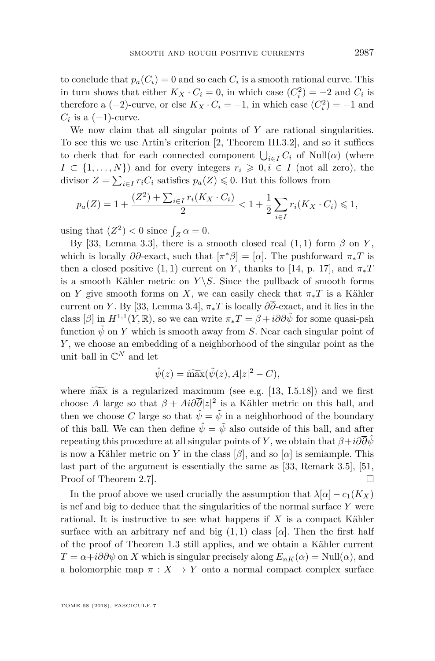to conclude that  $p_a(C_i) = 0$  and so each  $C_i$  is a smooth rational curve. This in turn shows that either  $K_X \cdot C_i = 0$ , in which case  $(C_i^2) = -2$  and  $C_i$  is therefore a  $(-2)$ -curve, or else  $K_X \cdot C_i = -1$ , in which case  $(C_i^2) = -1$  and  $C_i$  is a  $(-1)$ -curve.

We now claim that all singular points of *Y* are rational singularities. To see this we use Artin's criterion [\[2,](#page-16-0) Theorem III.3.2], and so it suffices to check that for each connected component  $\bigcup_{i \in I} C_i$  of  $Null(\alpha)$  (where  $I \subset \{1, \ldots, N\}$  and for every integers  $r_i \geqslant 0, i \in I$  (not all zero), the divisor  $Z = \sum_{i \in I} r_i C_i$  satisfies  $p_a(Z) \leq 0$ . But this follows from

$$
p_a(Z) = 1 + \frac{(Z^2) + \sum_{i \in I} r_i(K_X \cdot C_i)}{2} < 1 + \frac{1}{2} \sum_{i \in I} r_i(K_X \cdot C_i) \leq 1,
$$

using that  $(Z^2) < 0$  since  $\int_Z \alpha = 0$ .

By [\[33,](#page-18-7) Lemma 3.3], there is a smooth closed real  $(1, 1)$  form  $\beta$  on *Y*, which is locally  $\partial \overline{\partial}$ -exact, such that  $[\pi^*\beta] = [\alpha]$ . The pushforward  $\pi_*T$  is then a closed positive  $(1, 1)$  current on *Y*, thanks to [\[14,](#page-17-10) p. 17], and  $\pi_*T$ is a smooth Kähler metric on  $Y \setminus S$ . Since the pullback of smooth forms on *Y* give smooth forms on *X*, we can easily check that  $\pi_* T$  is a Kähler current on *Y*. By [\[33,](#page-18-7) Lemma 3.4],  $\pi_* T$  is locally  $\partial \overline{\partial}$ -exact, and it lies in the class  $[\beta]$  in  $H^{1,1}(Y,\mathbb{R})$ , so we can write  $\pi_*T = \beta + i\partial\overline{\partial}\tilde{\psi}$  for some quasi-psh function  $\psi$  on *Y* which is smooth away from *S*. Near each singular point of *Y* , we choose an embedding of a neighborhood of the singular point as the unit ball in  $\mathbb{C}^N$  and let

$$
\hat{\psi}(z) = \widetilde{\max}(\tilde{\psi}(z), A|z|^2 - C),
$$

where  $\widetilde{\text{max}}$  is a regularized maximum (see e.g. [\[13,](#page-17-11) I.5.18]) and we first choose *A* large so that  $\beta + Ai\partial \overline{\partial}|z|^2$  is a Kähler metric on this ball, and then we choose *C* large so that  $\hat{\psi} = \tilde{\psi}$  in a neighborhood of the boundary of this ball. We can then define  $\hat{\psi} = \tilde{\psi}$  also outside of this ball, and after repeating this procedure at all singular points of *Y*, we obtain that  $\beta + i\partial\overline{\partial}\hat{\psi}$ is now a Kähler metric on *Y* in the class  $[\beta]$ , and so  $[\alpha]$  is semiample. This last part of the argument is essentially the same as [\[33,](#page-18-7) Remark 3.5], [\[51,](#page-19-1) Proof of Theorem 2.7.

In the proof above we used crucially the assumption that  $\lambda[\alpha] - c_1(K_X)$ is nef and big to deduce that the singularities of the normal surface *Y* were rational. It is instructive to see what happens if *X* is a compact Kähler surface with an arbitrary nef and big  $(1,1)$  class  $[\alpha]$ . Then the first half of the proof of Theorem [1.3](#page-3-5) still applies, and we obtain a Kähler current  $T = \alpha + i\partial\overline{\partial}\psi$  on *X* which is singular precisely along  $E_{nK}(\alpha) = \text{Null}(\alpha)$ , and a holomorphic map  $\pi : X \to Y$  onto a normal compact complex surface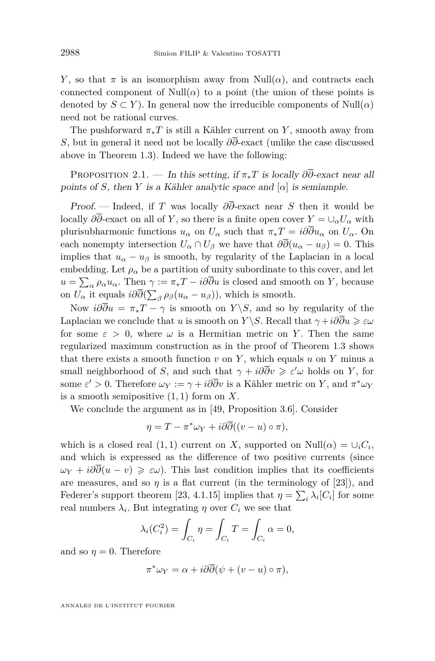*Y*, so that  $\pi$  is an isomorphism away from Null( $\alpha$ ), and contracts each connected component of Null( $\alpha$ ) to a point (the union of these points is denoted by  $S \subset Y$ ). In general now the irreducible components of Null $(\alpha)$ need not be rational curves.

The pushforward  $\pi_* T$  is still a Kähler current on *Y*, smooth away from *S*, but in general it need not be locally *∂∂*-exact (unlike the case discussed above in Theorem [1.3\)](#page-3-5). Indeed we have the following:

PROPOSITION 2.1. — In this setting, if  $\pi_* T$  is locally  $\partial \overline{\partial}$ -exact near all points of *S*, then *Y* is a Kähler analytic space and  $\alpha$  is semiample.

Proof. — Indeed, if *T* was locally *∂∂*-exact near *S* then it would be locally  $\partial \overline{\partial}$ -exact on all of *Y*, so there is a finite open cover  $Y = \bigcup_{\alpha} U_{\alpha}$  with plurisubharmonic functions  $u_{\alpha}$  on  $U_{\alpha}$  such that  $\pi_* T = i \partial \overline{\partial} u_{\alpha}$  on  $U_{\alpha}$ . On each nonempty intersection  $U_{\alpha} \cap U_{\beta}$  we have that  $\partial \overline{\partial}(u_{\alpha} - u_{\beta}) = 0$ . This implies that  $u_{\alpha} - u_{\beta}$  is smooth, by regularity of the Laplacian in a local embedding. Let  $\rho_{\alpha}$  be a partition of unity subordinate to this cover, and let  $u = \sum_{\alpha} \rho_{\alpha} u_{\alpha}$ . Then  $\gamma := \pi_* T - i \partial \partial u$  is closed and smooth on *Y*, because on  $U_{\alpha}$  it equals  $i\partial\partial(\sum_{\beta}\rho_{\beta}(u_{\alpha}-u_{\beta}))$ , which is smooth.

Now  $i\partial\overline{\partial}u = \pi_*T - \gamma$  is smooth on *Y*\*S*, and so by regularity of the Laplacian we conclude that *u* is smooth on *Y* \*S*. Recall that  $\gamma + i\partial\overline{\partial}u \geq \varepsilon\omega$ for some  $\varepsilon > 0$ , where  $\omega$  is a Hermitian metric on Y. Then the same regularized maximum construction as in the proof of Theorem [1.3](#page-3-5) shows that there exists a smooth function  $v$  on  $Y$ , which equals  $u$  on  $Y$  minus a small neighborhood of *S*, and such that  $\gamma + i\partial\overline{\partial}v \geq \varepsilon' \omega$  holds on *Y*, for some  $\varepsilon' > 0$ . Therefore  $\omega_Y := \gamma + i\partial\overline{\partial}v$  is a Kähler metric on *Y*, and  $\pi^*\omega_Y$ is a smooth semipositive (1*,* 1) form on *X*.

We conclude the argument as in [\[49,](#page-19-4) Proposition 3.6]. Consider

$$
\eta = T - \pi^* \omega_Y + i \partial \overline{\partial} ((v - u) \circ \pi),
$$

which is a closed real  $(1, 1)$  current on *X*, supported on  $Null(\alpha) = \bigcup_i C_i$ , and which is expressed as the difference of two positive currents (since  $\omega_Y + i\partial\overline{\partial}(u - v) \geq \varepsilon \omega$ . This last condition implies that its coefficients are measures, and so  $\eta$  is a flat current (in the terminology of [\[23\]](#page-17-12)), and Federer's support theorem [\[23,](#page-17-12) 4.1.15] implies that  $\eta = \sum_i \lambda_i [C_i]$  for some real numbers  $\lambda_i$ . But integrating  $\eta$  over  $C_i$  we see that

$$
\lambda_i(C_i^2) = \int_{C_i} \eta = \int_{C_i} T = \int_{C_i} \alpha = 0,
$$

and so  $\eta = 0$ . Therefore

$$
\pi^* \omega_Y = \alpha + i \partial \overline{\partial} (\psi + (v - u) \circ \pi),
$$

ANNALES DE L'INSTITUT FOURIER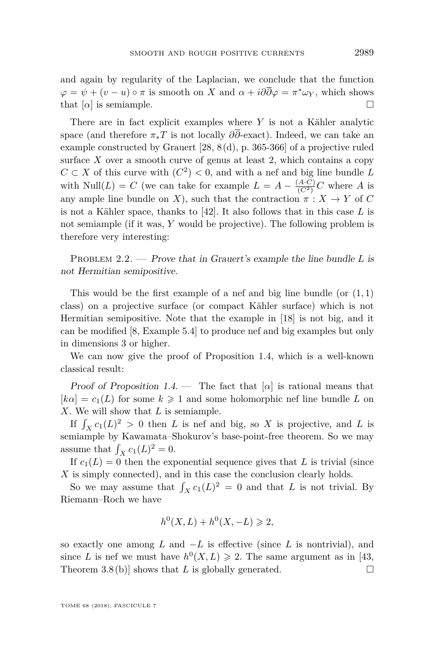and again by regularity of the Laplacian, we conclude that the function  $\varphi = \psi + (v - u) \circ \pi$  is smooth on *X* and  $\alpha + i\partial\overline{\partial}\varphi = \pi^*\omega_Y$ , which shows that  $\lbrack \alpha \rbrack$  is semiample.

There are in fact explicit examples where *Y* is not a Kähler analytic space (and therefore  $\pi_* T$  is not locally  $\partial \overline{\partial}$ -exact). Indeed, we can take an example constructed by Grauert [\[28,](#page-18-13) 8 (d), p. 365-366] of a projective ruled surface  $X$  over a smooth curve of genus at least 2, which contains a copy *C* ⊂ *X* of this curve with  $(C^2)$  < 0, and with a nef and big line bundle *L* with Null(*L*) = *C* (we can take for example  $L = A - \frac{(A \cdot C)}{(C^2)}C$  where *A* is any ample line bundle on *X*), such that the contraction  $\pi: X \to Y$  of *C* is not a Kähler space, thanks to [\[42\]](#page-18-15). It also follows that in this case *L* is not semiample (if it was, *Y* would be projective). The following problem is therefore very interesting:

<span id="page-9-0"></span>PROBLEM 2.2. — Prove that in Grauert's example the line bundle L is not Hermitian semipositive.

This would be the first example of a nef and big line bundle (or (1*,* 1) class) on a projective surface (or compact Kähler surface) which is not Hermitian semipositive. Note that the example in [\[18\]](#page-17-1) is not big, and it can be modified [\[8,](#page-17-13) Example 5.4] to produce nef and big examples but only in dimensions 3 or higher.

We can now give the proof of Proposition [1.4,](#page-4-0) which is a well-known classical result:

Proof of Proposition [1.4.](#page-4-0) — The fact that  $[\alpha]$  is rational means that  $[k\alpha] = c_1(L)$  for some  $k \geq 1$  and some holomorphic nef line bundle L on *X*. We will show that *L* is semiample.

If  $\int_X c_1(L)^2 > 0$  then *L* is nef and big, so *X* is projective, and *L* is semiample by Kawamata–Shokurov's base-point-free theorem. So we may assume that  $\int_X c_1(L)^2 = 0$ .

If  $c_1(L) = 0$  then the exponential sequence gives that *L* is trivial (since *X* is simply connected), and in this case the conclusion clearly holds.

So we may assume that  $\int_X c_1(L)^2 = 0$  and that *L* is not trivial. By Riemann–Roch we have

$$
h^{0}(X, L) + h^{0}(X, -L) \geq 2,
$$

so exactly one among *L* and −*L* is effective (since *L* is nontrivial), and since *L* is nef we must have  $h^0(X, L) \geq 2$ . The same argument as in [\[43,](#page-18-16) Theorem 3.8(b)] shows that *L* is globally generated.  $\square$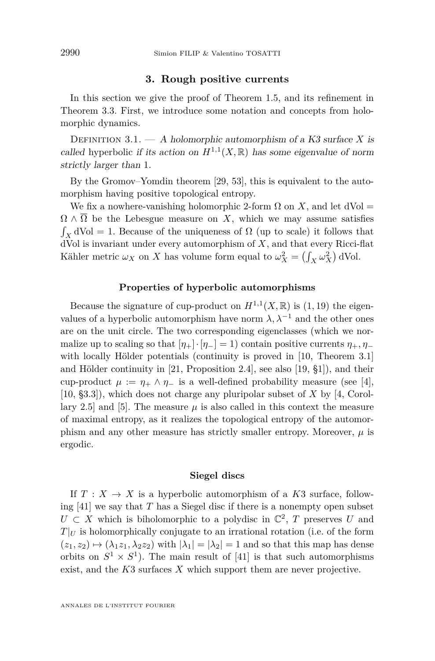#### **3. Rough positive currents**

<span id="page-10-0"></span>In this section we give the proof of Theorem [1.5,](#page-4-3) and its refinement in Theorem [3.3.](#page-11-0) First, we introduce some notation and concepts from holomorphic dynamics.

DEFINITION 3.1.  $- A$  holomorphic automorphism of a K3 surface X is called hyperbolic if its action on  $H^{1,1}(X,\mathbb{R})$  has some eigenvalue of norm strictly larger than 1.

By the Gromov–Yomdin theorem [\[29,](#page-18-17) [53\]](#page-19-5), this is equivalent to the automorphism having positive topological entropy.

We fix a nowhere-vanishing holomorphic 2-form  $\Omega$  on X, and let dVol =  $\Omega \wedge \overline{\Omega}$  be the Lebesgue measure on *X*, which we may assume satisfies  $\int_X$  dVol = 1. Because of the uniqueness of  $\Omega$  (up to scale) it follows that dVol is invariant under every automorphism of *X*, and that every Ricci-flat Kähler metric  $\omega_X$  on *X* has volume form equal to  $\omega_X^2 = \left(\int_X \omega_X^2\right) dVol$ .

#### **Properties of hyperbolic automorphisms**

Because the signature of cup-product on  $H^{1,1}(X,\mathbb{R})$  is  $(1,19)$  the eigenvalues of a hyperbolic automorphism have norm  $\lambda$ ,  $\lambda^{-1}$  and the other ones are on the unit circle. The two corresponding eigenclasses (which we normalize up to scaling so that  $[\eta_+] \cdot [\eta_-] = 1$ ) contain positive currents  $\eta_+, \eta_-$ with locally Hölder potentials (continuity is proved in [\[10,](#page-17-4) Theorem 3.1] and Hölder continuity in [\[21,](#page-17-14) Proposition 2.4], see also [\[19,](#page-17-15) §1]), and their cup-product  $\mu := \eta_+ \wedge \eta_-$  is a well-defined probability measure (see [\[4\]](#page-17-16), [\[10,](#page-17-4) §3.3]), which does not charge any pluripolar subset of *X* by [\[4,](#page-17-16) Corol-lary 2.5] and [\[5\]](#page-17-17). The measure  $\mu$  is also called in this context the measure of maximal entropy, as it realizes the topological entropy of the automorphism and any other measure has strictly smaller entropy. Moreover,  $\mu$  is ergodic.

#### **Siegel discs**

If  $T: X \to X$  is a hyperbolic automorphism of a K3 surface, following  $[41]$  we say that *T* has a Siegel disc if there is a nonempty open subset  $U \subset X$  which is biholomorphic to a polydisc in  $\mathbb{C}^2$ , *T* preserves *U* and  $T|_U$  is holomorphically conjugate to an irrational rotation (i.e. of the form  $(z_1, z_2) \mapsto (\lambda_1 z_1, \lambda_2 z_2)$  with  $|\lambda_1| = |\lambda_2| = 1$  and so that this map has dense orbits on  $S^1 \times S^1$ ). The main result of [\[41\]](#page-18-11) is that such automorphisms exist, and the *K*3 surfaces *X* which support them are never projective.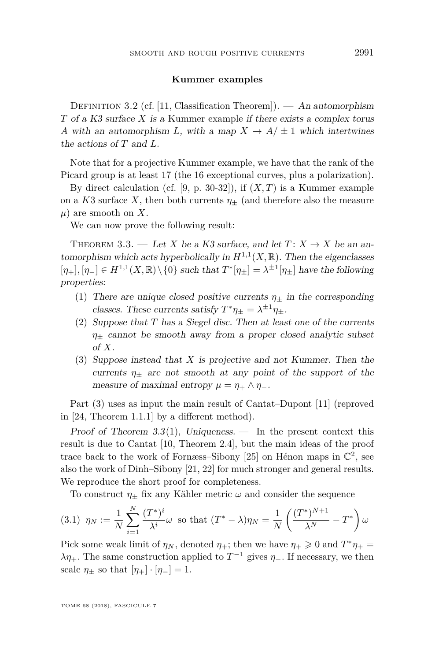#### **Kummer examples**

DEFINITION 3.2 (cf. [\[11,](#page-17-5) Classification Theorem]). — An automorphism *T* of a K3 surface *X* is a Kummer example if there exists a complex torus *A* with an automorphism *L*, with a map  $X \to A/\pm 1$  which intertwines the actions of *T* and *L*.

Note that for a projective Kummer example, we have that the rank of the Picard group is at least 17 (the 16 exceptional curves, plus a polarization).

By direct calculation (cf.  $[9, p. 30-32]$  $[9, p. 30-32]$ ), if  $(X, T)$  is a Kummer example on a *K*3 surface *X*, then both currents  $\eta_{\pm}$  (and therefore also the measure *µ*) are smooth on *X*.

We can now prove the following result:

<span id="page-11-0"></span>THEOREM 3.3. — Let *X* be a K3 surface, and let  $T: X \to X$  be an automorphism which acts hyperbolically in  $H^{1,1}(X,\mathbb{R})$ . Then the eigenclasses  $[\eta_+]$ ,  $[\eta_-] \in H^{1,1}(X,\mathbb{R}) \setminus \{0\}$  such that  $T^*[\eta_{\pm}] = \lambda^{\pm 1}[\eta_{\pm}]$  have the following properties:

- <span id="page-11-1"></span>(1) There are unique closed positive currents  $\eta_+$  in the corresponding classes. These currents satisfy  $T^*\eta_{\pm} = \lambda^{\pm 1}\eta_{\pm}$ .
- <span id="page-11-3"></span>(2) Suppose that *T* has a Siegel disc. Then at least one of the currents *η*<sup>±</sup> cannot be smooth away from a proper closed analytic subset of *X*.
- <span id="page-11-2"></span>(3) Suppose instead that *X* is projective and not Kummer. Then the currents  $\eta_{\pm}$  are not smooth at any point of the support of the measure of maximal entropy  $\mu = \eta_+ \wedge \eta_-$ .

Part [\(3\)](#page-11-2) uses as input the main result of Cantat–Dupont [\[11\]](#page-17-5) (reproved in [\[24,](#page-17-6) Theorem 1.1.1] by a different method).

Proof of Theorem [3.3](#page-11-0)[\(1\)](#page-11-1), Uniqueness.  $-$  In the present context this result is due to Cantat [\[10,](#page-17-4) Theorem 2.4], but the main ideas of the proof trace back to the work of Fornæss-Sibony [\[25\]](#page-17-19) on Hénon maps in  $\mathbb{C}^2$ , see also the work of Dinh–Sibony [\[21,](#page-17-14) [22\]](#page-17-20) for much stronger and general results. We reproduce the short proof for completeness.

To construct  $\eta_+$  fix any Kähler metric  $\omega$  and consider the sequence

$$
(3.1) \ \eta_N := \frac{1}{N} \sum_{i=1}^N \frac{(T^*)^i}{\lambda^i} \omega \text{ so that } (T^* - \lambda)\eta_N = \frac{1}{N} \left( \frac{(T^*)^{N+1}}{\lambda^N} - T^* \right) \omega
$$

Pick some weak limit of  $\eta_N$ , denoted  $\eta_+$ ; then we have  $\eta_+ \geq 0$  and  $T^*\eta_+ =$ *λη*<sub>+</sub>. The same construction applied to  $T^{-1}$  gives *η*<sub>−</sub>. If necessary, we then scale  $\eta_{\pm}$  so that  $[\eta_{+}] \cdot [\eta_{-}] = 1$ .

TOME 68 (2018), FASCICULE 7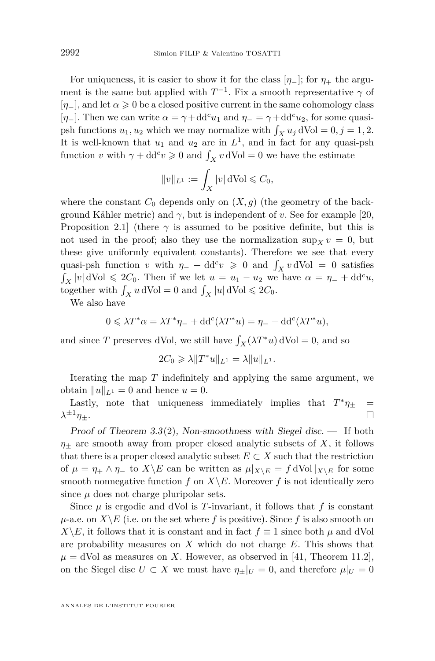For uniqueness, it is easier to show it for the class  $[\eta_-]$ ; for  $\eta_+$  the argument is the same but applied with  $T^{-1}$ . Fix a smooth representative  $\gamma$  of  $[\eta_+]$ , and let  $\alpha \geq 0$  be a closed positive current in the same cohomology class [*η*−]. Then we can write  $\alpha = \gamma + dd^c u_1$  and  $\eta$ <sub>−</sub> =  $\gamma + dd^c u_2$ , for some quasipsh functions  $u_1, u_2$  which we may normalize with  $\int_X u_j dVol = 0, j = 1, 2$ . It is well-known that  $u_1$  and  $u_2$  are in  $L^1$ , and in fact for any quasi-psh function *v* with  $\gamma + dd^c v \ge 0$  and  $\int_X v dVol = 0$  we have the estimate

$$
\|v\|_{L^1}:=\int_X|v|\,\mathrm{dVol}\leqslant C_0,
$$

where the constant  $C_0$  depends only on  $(X, g)$  (the geometry of the background Kähler metric) and  $\gamma$ , but is independent of *v*. See for example [\[20,](#page-17-21) Proposition 2.1 (there  $\gamma$  is assumed to be positive definite, but this is not used in the proof; also they use the normalization  $\sup_x v = 0$ , but these give uniformly equivalent constants). Therefore we see that every quasi-psh function *v* with  $\eta$ <sub>−</sub> + dd<sup>*c</sup>v*  $\geq$  0 and  $\int_X v dVol = 0$  satisfies</sup>  $\int_X |v| dVol \leq 2C_0$ . Then if we let  $u = u_1 - u_2$  we have  $\alpha = \eta_- + dd^c u$ , together with  $\int_X u \, dVol = 0$  and  $\int_X |u| \, dVol \leq 2C_0$ .

We also have

$$
0\leqslant \lambda T^*\alpha = \lambda T^*\eta_- + \text{dd}^c(\lambda T^*u) = \eta_- + \text{dd}^c(\lambda T^*u),
$$

and since *T* preserves dVol, we still have  $\int_X (\lambda T^* u) dVol = 0$ , and so

$$
2C_0 \geqslant \lambda \|T^*u\|_{L^1} = \lambda \|u\|_{L^1}.
$$

Iterating the map *T* indefinitely and applying the same argument, we obtain  $||u||_{L^1} = 0$  and hence  $u = 0$ .

Lastly, note that uniqueness immediately implies that  $T^*\eta_{\pm}$  =  $\lambda^{\pm 1}\eta_+.$  $\pm 1$ <sub>*η*±</sub>.

Proof of Theorem [3.3](#page-11-0)[\(2\)](#page-11-3), Non-smoothness with Siegel disc.  $-$  If both  $\eta_{+}$  are smooth away from proper closed analytic subsets of *X*, it follows that there is a proper closed analytic subset  $E \subset X$  such that the restriction of  $\mu = \eta_+ \wedge \eta_-$  to  $X \backslash E$  can be written as  $\mu|_{X \backslash E} = f dVol|_{X \backslash E}$  for some smooth nonnegative function  $f$  on  $X \backslash E$ . Moreover  $f$  is not identically zero since  $\mu$  does not charge pluripolar sets.

Since  $\mu$  is ergodic and dVol is *T*-invariant, it follows that  $f$  is constant  $\mu$ -a.e. on *X*  $\backslash$  *E* (i.e. on the set where *f* is positive). Since *f* is also smooth on *X*\*E*, it follows that it is constant and in fact  $f \equiv 1$  since both  $\mu$  and dVol are probability measures on *X* which do not charge *E*. This shows that  $\mu = d$ Vol as measures on *X*. However, as observed in [\[41,](#page-18-11) Theorem 11.2], on the Siegel disc  $U \subset X$  we must have  $\eta_{\pm}|_U = 0$ , and therefore  $\mu|_U = 0$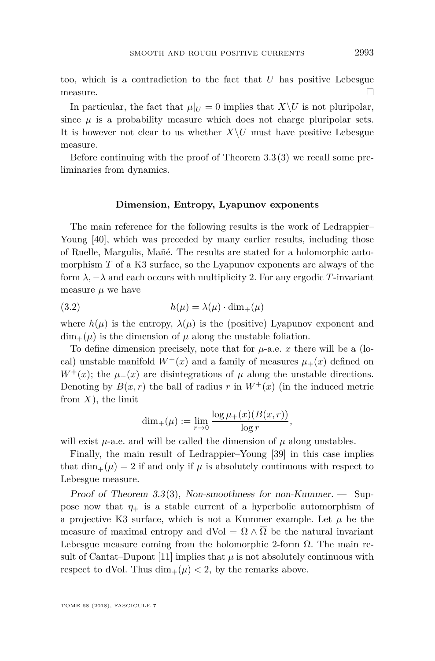too, which is a contradiction to the fact that *U* has positive Lebesgue measure.  $\Box$ 

In particular, the fact that  $\mu|_U = 0$  implies that  $X \setminus U$  is not pluripolar, since  $\mu$  is a probability measure which does not charge pluripolar sets. It is however not clear to us whether  $X\setminus U$  must have positive Lebesgue measure.

Before continuing with the proof of Theorem [3.3](#page-11-0)[\(3\)](#page-11-2) we recall some preliminaries from dynamics.

#### **Dimension, Entropy, Lyapunov exponents**

The main reference for the following results is the work of Ledrappier– Young [\[40\]](#page-18-18), which was preceded by many earlier results, including those of Ruelle, Margulis, Mañé. The results are stated for a holomorphic automorphism *T* of a K3 surface, so the Lyapunov exponents are always of the form  $\lambda$ ,  $-\lambda$  and each occurs with multiplicity 2. For any ergodic *T*-invariant measure  $\mu$  we have

(3.2) 
$$
h(\mu) = \lambda(\mu) \cdot \dim_+(\mu)
$$

where  $h(\mu)$  is the entropy,  $\lambda(\mu)$  is the (positive) Lyapunov exponent and  $\dim_+(\mu)$  is the dimension of  $\mu$  along the unstable foliation.

To define dimension precisely, note that for  $\mu$ -a.e.  $x$  there will be a (local) unstable manifold  $W^+(x)$  and a family of measures  $\mu_+(x)$  defined on  $W^+(x)$ ; the  $\mu_+(x)$  are disintegrations of  $\mu$  along the unstable directions. Denoting by  $B(x, r)$  the ball of radius r in  $W^+(x)$  (in the induced metric from  $X$ ), the limit

$$
\dim_+(\mu) := \lim_{r \to 0} \frac{\log \mu_+(x)(B(x,r))}{\log r},
$$

will exist  $\mu$ -a.e. and will be called the dimension of  $\mu$  along unstables.

Finally, the main result of Ledrappier–Young [\[39\]](#page-18-19) in this case implies that  $\dim_+(\mu) = 2$  if and only if  $\mu$  is absolutely continuous with respect to Lebesgue measure.

Proof of Theorem [3.3](#page-11-0)[\(3\)](#page-11-2), Non-smoothness for non-Kummer.  $\sim$  Suppose now that  $\eta_+$  is a stable current of a hyperbolic automorphism of a projective K3 surface, which is not a Kummer example. Let  $\mu$  be the measure of maximal entropy and dVol =  $\Omega \wedge \Omega$  be the natural invariant Lebesgue measure coming from the holomorphic 2-form  $\Omega$ . The main re-sult of Cantat–Dupont [\[11\]](#page-17-5) implies that  $\mu$  is not absolutely continuous with respect to dVol. Thus  $\dim_+(\mu) < 2$ , by the remarks above.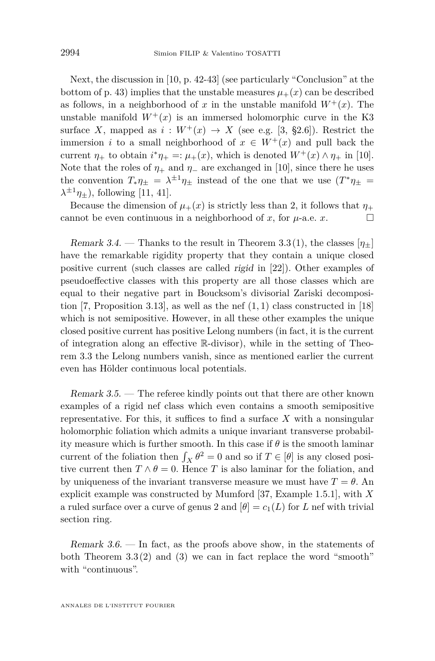Next, the discussion in [\[10,](#page-17-4) p. 42-43] (see particularly "Conclusion" at the bottom of p. 43) implies that the unstable measures  $\mu_{+}(x)$  can be described as follows, in a neighborhood of x in the unstable manifold  $W^+(x)$ . The unstable manifold  $W^+(x)$  is an immersed holomorphic curve in the K3 surface *X*, mapped as  $i: W^+(x) \to X$  (see e.g. [\[3,](#page-16-2) §2.6]). Restrict the immersion *i* to a small neighborhood of  $x \in W^+(x)$  and pull back the current  $\eta_+$  to obtain  $i^*\eta_+ =: \mu_+(x)$ , which is denoted  $W^+(x) \wedge \eta_+$  in [\[10\]](#page-17-4). Note that the roles of  $\eta_+$  and  $\eta_-$  are exchanged in [\[10\]](#page-17-4), since there he uses the convention  $T_*\eta_{\pm} = \lambda^{\pm 1}\eta_{\pm}$  instead of the one that we use  $(T^*\eta_{\pm} =$  $\lambda^{\pm 1}\eta_{\pm}$ ), following [\[11,](#page-17-5) [41\]](#page-18-11).

Because the dimension of  $\mu_+(x)$  is strictly less than 2, it follows that  $\eta_+$ cannot be even continuous in a neighborhood of *x*, for  $\mu$ -a.e. *x*.

Remark 3.4. — Thanks to the result in Theorem [3.3](#page-11-0)[\(1\)](#page-11-1), the classes  $[\eta_+]$ have the remarkable rigidity property that they contain a unique closed positive current (such classes are called rigid in [\[22\]](#page-17-20)). Other examples of pseudoeffective classes with this property are all those classes which are equal to their negative part in Boucksom's divisorial Zariski decomposition [\[7,](#page-17-8) Proposition 3.13], as well as the nef (1*,* 1) class constructed in [\[18\]](#page-17-1) which is not semipositive. However, in all these other examples the unique closed positive current has positive Lelong numbers (in fact, it is the current of integration along an effective R-divisor), while in the setting of Theorem [3.3](#page-11-0) the Lelong numbers vanish, since as mentioned earlier the current even has Hölder continuous local potentials.

<span id="page-14-0"></span>Remark 3.5. — The referee kindly points out that there are other known examples of a rigid nef class which even contains a smooth semipositive representative. For this, it suffices to find a surface *X* with a nonsingular holomorphic foliation which admits a unique invariant transverse probability measure which is further smooth. In this case if *θ* is the smooth laminar current of the foliation then  $\int_X \theta^2 = 0$  and so if  $T \in [\theta]$  is any closed positive current then  $T \wedge \theta = 0$ . Hence *T* is also laminar for the foliation, and by uniqueness of the invariant transverse measure we must have  $T = \theta$ . An explicit example was constructed by Mumford [\[37,](#page-18-1) Example 1.5.1], with *X* a ruled surface over a curve of genus 2 and  $[\theta] = c_1(L)$  for *L* nef with trivial section ring.

Remark  $3.6.$  — In fact, as the proofs above show, in the statements of both Theorem [3.3](#page-11-0)[\(2\)](#page-11-3) and [\(3\)](#page-11-2) we can in fact replace the word "smooth" with "continuous".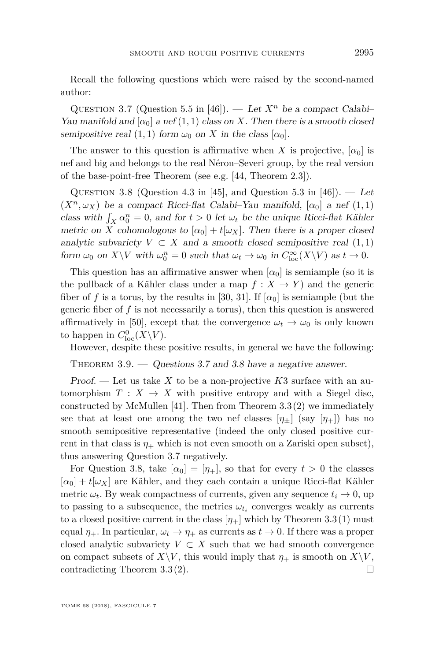Recall the following questions which were raised by the second-named author:

<span id="page-15-0"></span>QUESTION 3.7 (Question 5.5 in [\[46\]](#page-18-9)). — Let  $X^n$  be a compact Calabi-Yau manifold and  $\alpha_0$  a nef (1, 1) class on *X*. Then there is a smooth closed semipositive real  $(1, 1)$  form  $\omega_0$  on X in the class  $[\alpha_0]$ .

The answer to this question is affirmative when *X* is projective,  $[\alpha_0]$  is nef and big and belongs to the real Néron–Severi group, by the real version of the base-point-free Theorem (see e.g. [\[44,](#page-18-5) Theorem 2.3]).

<span id="page-15-1"></span>QUESTION 3.8 (Question 4.3 in [\[45\]](#page-18-10), and Question 5.3 in [\[46\]](#page-18-9)). — Let  $(X^n, \omega_X)$  be a compact Ricci-flat Calabi–Yau manifold,  $[\alpha_0]$  a nef  $(1, 1)$ class with  $\int_X \alpha_0^n = 0$ , and for  $t > 0$  let  $\omega_t$  be the unique Ricci-flat Kähler metric on *X* cohomologous to  $[\alpha_0] + t[\omega_X]$ . Then there is a proper closed analytic subvariety  $V \subset X$  and a smooth closed semipositive real  $(1, 1)$ form  $\omega_0$  on  $X \backslash V$  with  $\omega_0^n = 0$  such that  $\omega_t \to \omega_0$  in  $C_{\text{loc}}^{\infty}(X \backslash V)$  as  $t \to 0$ .

This question has an affirmative answer when  $\alpha_0$  is semiample (so it is the pullback of a Kähler class under a map  $f: X \to Y$  and the generic fiber of f is a torus, by the results in [\[30,](#page-18-20) [31\]](#page-18-21). If  $\alpha_0$  is semiample (but the generic fiber of *f* is not necessarily a torus), then this question is answered affirmatively in [\[50\]](#page-19-6), except that the convergence  $\omega_t \to \omega_0$  is only known to happen in  $C^0_{\text{loc}}(X\backslash V)$ .

However, despite these positive results, in general we have the following:

<span id="page-15-2"></span>THEOREM  $3.9.$  — Questions [3.7](#page-15-0) and [3.8](#page-15-1) have a negative answer.

Proof. — Let us take *X* to be a non-projective *K*3 surface with an automorphism  $T : X \to X$  with positive entropy and with a Siegel disc, constructed by McMullen [\[41\]](#page-18-11). Then from Theorem  $3.3(2)$  $3.3(2)$  we immediately see that at least one among the two nef classes  $[\eta_+]$  (say  $[\eta_+]$ ) has no smooth semipositive representative (indeed the only closed positive current in that class is  $\eta_+$  which is not even smooth on a Zariski open subset), thus answering Question [3.7](#page-15-0) negatively.

For Question [3.8,](#page-15-1) take  $[\alpha_0] = [\eta_+]$ , so that for every  $t > 0$  the classes  $[\alpha_0] + t[\omega_X]$  are Kähler, and they each contain a unique Ricci-flat Kähler metric  $\omega_t$ . By weak compactness of currents, given any sequence  $t_i \to 0$ , up to passing to a subsequence, the metrics  $\omega_{t_i}$  converges weakly as currents to a closed positive current in the class  $[\eta_+]$  which by Theorem [3.3](#page-11-0)[\(1\)](#page-11-1) must equal  $\eta_+$ . In particular,  $\omega_t \to \eta_+$  as currents as  $t \to 0$ . If there was a proper closed analytic subvariety  $V \subset X$  such that we had smooth convergence on compact subsets of  $X\backslash V$ , this would imply that  $\eta_+$  is smooth on  $X\backslash V$ , contradicting Theorem [3.3](#page-11-0)[\(2\)](#page-11-3).  $\square$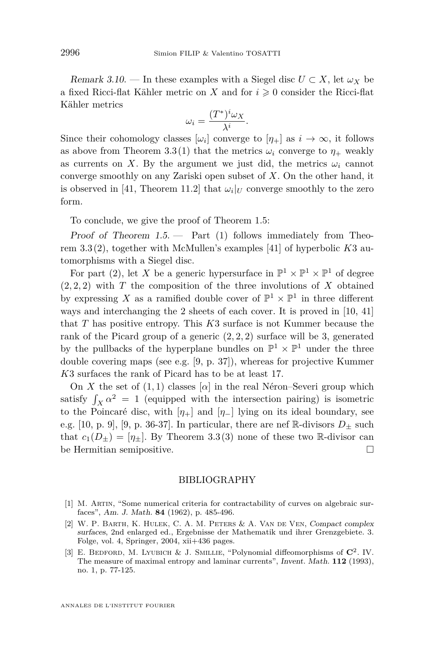Remark 3.10. — In these examples with a Siegel disc  $U \subset X$ , let  $\omega_X$  be a fixed Ricci-flat Kähler metric on *X* and for  $i \geq 0$  consider the Ricci-flat Kähler metrics

$$
\omega_i = \frac{(T^*)^i \omega_X}{\lambda^i}.
$$

Since their cohomology classes  $[\omega_i]$  converge to  $[\eta_+]$  as  $i \to \infty$ , it follows as above from Theorem [3.3](#page-11-0)[\(1\)](#page-11-1) that the metrics  $\omega_i$  converge to  $\eta_+$  weakly as currents on *X*. By the argument we just did, the metrics  $\omega_i$  cannot converge smoothly on any Zariski open subset of *X*. On the other hand, it is observed in [\[41,](#page-18-11) Theorem 11.2] that  $\omega_i|_U$  converge smoothly to the zero form.

To conclude, we give the proof of Theorem [1.5:](#page-4-3)

Proof of Theorem  $1.5$  — Part  $(1)$  follows immediately from Theorem [3.3](#page-11-0)[\(2\)](#page-11-3), together with McMullen's examples [\[41\]](#page-18-11) of hyperbolic *K*3 automorphisms with a Siegel disc.

For part [\(2\)](#page-4-2), let X be a generic hypersurface in  $\mathbb{P}^1 \times \mathbb{P}^1 \times \mathbb{P}^1$  of degree  $(2, 2, 2)$  with *T* the composition of the three involutions of *X* obtained by expressing X as a ramified double cover of  $\mathbb{P}^1 \times \mathbb{P}^1$  in three different ways and interchanging the 2 sheets of each cover. It is proved in [\[10,](#page-17-4) [41\]](#page-18-11) that *T* has positive entropy. This *K*3 surface is not Kummer because the rank of the Picard group of a generic (2*,* 2*,* 2) surface will be 3, generated by the pullbacks of the hyperplane bundles on  $\mathbb{P}^1 \times \mathbb{P}^1$  under the three double covering maps (see e.g. [\[9,](#page-17-18) p. 37]), whereas for projective Kummer *K*3 surfaces the rank of Picard has to be at least 17.

On *X* the set of  $(1, 1)$  classes  $[\alpha]$  in the real Néron–Severi group which satisfy  $\int_X \alpha^2 = 1$  (equipped with the intersection pairing) is isometric to the Poincaré disc, with  $[\eta_+]$  and  $[\eta_-]$  lying on its ideal boundary, see e.g. [\[10,](#page-17-4) p. 9], [\[9,](#page-17-18) p. 36-37]. In particular, there are nef R-divisors  $D_{\pm}$  such that  $c_1(D_{\pm}) = [\eta_{\pm}]$ . By Theorem [3.3](#page-11-0)[\(3\)](#page-11-2) none of these two R-divisor can be Hermitian semipositive.  $\hfill \square$ 

#### BIBLIOGRAPHY

- <span id="page-16-1"></span>[1] M. Artin, "Some numerical criteria for contractability of curves on algebraic surfaces", Am. J. Math. **84** (1962), p. 485-496.
- <span id="page-16-0"></span>[2] W. P. Barth, K. Hulek, C. A. M. Peters & A. Van de Ven, Compact complex surfaces, 2nd enlarged ed., Ergebnisse der Mathematik und ihrer Grenzgebiete. 3. Folge, vol. 4, Springer, 2004, xii+436 pages.
- <span id="page-16-2"></span>[3] E. Bedford, M. Lyubich & J. Smillie, "Polynomial diffeomorphisms of **C**<sup>2</sup> . IV. The measure of maximal entropy and laminar currents", Invent. Math. **112** (1993), no. 1, p. 77-125.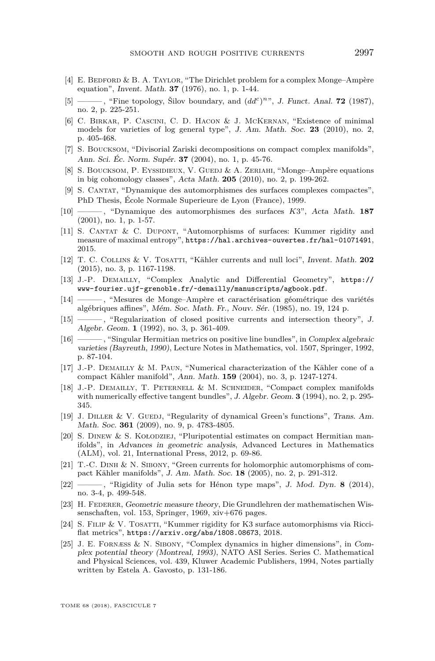- <span id="page-17-16"></span>[4] E. Bedford & B. A. Taylor, "The Dirichlet problem for a complex Monge–Ampère equation", Invent. Math. **37** (1976), no. 1, p. 1-44.
- <span id="page-17-17"></span>[5] ——, "Fine topology, Silov boundary, and  $(dd^c)^{n\gamma}$ , J. Funct. Anal. **72** (1987), no. 2, p. 225-251.
- <span id="page-17-2"></span>[6] C. Birkar, P. Cascini, C. D. Hacon & J. McKernan, "Existence of minimal models for varieties of log general type", J. Am. Math. Soc. **23** (2010), no. 2, p. 405-468.
- <span id="page-17-8"></span>[7] S. Boucksom, "Divisorial Zariski decompositions on compact complex manifolds", Ann. Sci. Éc. Norm. Supér. **37** (2004), no. 1, p. 45-76.
- <span id="page-17-13"></span>[8] S. Boucksom, P. Eyssidieux, V. Guedj & A. Zeriahi, "Monge–Ampère equations in big cohomology classes", Acta Math. **205** (2010), no. 2, p. 199-262.
- <span id="page-17-18"></span>[9] S. Cantat, "Dynamique des automorphismes des surfaces complexes compactes", PhD Thesis, École Normale Superieure de Lyon (France), 1999.
- <span id="page-17-4"></span>[10] ——— , "Dynamique des automorphismes des surfaces *K*3", Acta Math. **187** (2001), no. 1, p. 1-57.
- <span id="page-17-5"></span>[11] S. Cantat & C. Dupont, "Automorphisms of surfaces: Kummer rigidity and measure of maximal entropy", <https://hal.archives-ouvertes.fr/hal-01071491>, 2015.
- <span id="page-17-3"></span>[12] T. C. Collins & V. Tosatti, "Kähler currents and null loci", Invent. Math. **202** (2015), no. 3, p. 1167-1198.
- <span id="page-17-11"></span>[13] J.-P. Demailly, "Complex Analytic and Differential Geometry", [https://](https://www-fourier.ujf-grenoble.fr/~demailly/manuscripts/agbook.pdf) [www-fourier.ujf-grenoble.fr/~demailly/manuscripts/agbook.pdf](https://www-fourier.ujf-grenoble.fr/~demailly/manuscripts/agbook.pdf).
- <span id="page-17-10"></span>[14] ——— , "Mesures de Monge–Ampère et caractérisation géométrique des variétés algébriques affines", Mém. Soc. Math. Fr., Nouv. Sér. (1985), no. 19, 124 p.
- <span id="page-17-9"></span>[15] ——— , "Regularization of closed positive currents and intersection theory", J. Algebr. Geom. **1** (1992), no. 3, p. 361-409.
- <span id="page-17-0"></span>[16] ——— , "Singular Hermitian metrics on positive line bundles", in Complex algebraic varieties (Bayreuth, 1990), Lecture Notes in Mathematics, vol. 1507, Springer, 1992, p. 87-104.
- <span id="page-17-7"></span>[17] J.-P. DEMAILLY & M. PAUN, "Numerical characterization of the Kähler cone of a compact Kähler manifold", Ann. Math. **159** (2004), no. 3, p. 1247-1274.
- <span id="page-17-1"></span>[18] J.-P. Demailly, T. Peternell & M. Schneider, "Compact complex manifolds with numerically effective tangent bundles", J. Algebr. Geom. **3** (1994), no. 2, p. 295- 345.
- <span id="page-17-15"></span>[19] J. DILLER & V. GUEDJ, "Regularity of dynamical Green's functions", Trans. Am. Math. Soc. **361** (2009), no. 9, p. 4783-4805.
- <span id="page-17-21"></span>[20] S. Dinew & S. Kołodziej, "Pluripotential estimates on compact Hermitian manifolds", in Advances in geometric analysis, Advanced Lectures in Mathematics (ALM), vol. 21, International Press, 2012, p. 69-86.
- <span id="page-17-14"></span>[21] T.-C. Dinh & N. Sibony, "Green currents for holomorphic automorphisms of compact Kähler manifolds", J. Am. Math. Soc. **18** (2005), no. 2, p. 291-312.
- <span id="page-17-20"></span>[22] ——— , "Rigidity of Julia sets for Hénon type maps", J. Mod. Dyn. **8** (2014), no. 3-4, p. 499-548.
- <span id="page-17-12"></span>[23] H. Federer, Geometric measure theory, Die Grundlehren der mathematischen Wissenschaften, vol. 153, Springer, 1969, xiv+676 pages.
- <span id="page-17-6"></span>[24] S. FILIP & V. TOSATTI, "Kummer rigidity for K3 surface automorphisms via Ricciflat metrics", <https://arxiv.org/abs/1808.08673>, 2018.
- <span id="page-17-19"></span>[25] J. E. Fornæss & N. Sibony, "Complex dynamics in higher dimensions", in Complex potential theory (Montreal, 1993), NATO ASI Series. Series C. Mathematical and Physical Sciences, vol. 439, Kluwer Academic Publishers, 1994, Notes partially written by Estela A. Gavosto, p. 131-186.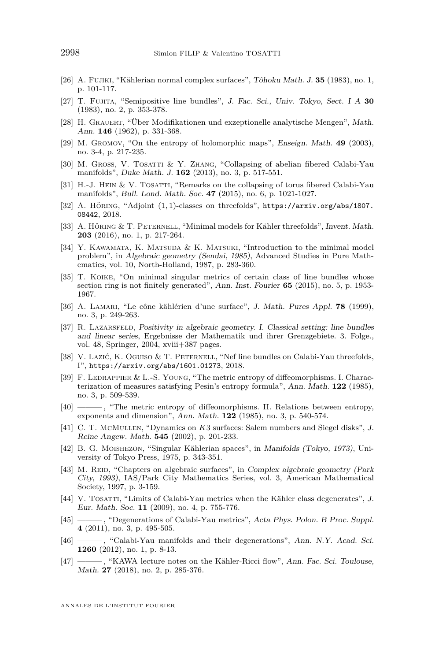- <span id="page-18-14"></span>[26] A. Fujiki, "Kählerian normal complex surfaces", Tôhoku Math. J. **35** (1983), no. 1, p. 101-117.
- <span id="page-18-0"></span>[27] T. Fujita, "Semipositive line bundles", J. Fac. Sci., Univ. Tokyo, Sect. I A **30** (1983), no. 2, p. 353-378.
- <span id="page-18-13"></span>[28] H. GRAUERT, "Über Modifikationen und exzeptionelle analytische Mengen", Math. Ann. **146** (1962), p. 331-368.
- <span id="page-18-17"></span>[29] M. Gromov, "On the entropy of holomorphic maps", Enseign. Math. **49** (2003), no. 3-4, p. 217-235.
- <span id="page-18-20"></span>[30] M. GROSS, V. TOSATTI & Y. ZHANG, "Collapsing of abelian fibered Calabi-Yau manifolds", Duke Math. J. **162** (2013), no. 3, p. 517-551.
- <span id="page-18-21"></span>[31] H.-J. HEIN & V. TOSATTI, "Remarks on the collapsing of torus fibered Calabi-Yau manifolds", Bull. Lond. Math. Soc. **47** (2015), no. 6, p. 1021-1027.
- <span id="page-18-8"></span>[32] A. Höring, "Adjoint (1*,* 1)-classes on threefolds", [https://arxiv.org/abs/1807.](https://arxiv.org/abs/1807.08442) [08442](https://arxiv.org/abs/1807.08442), 2018.
- <span id="page-18-7"></span>[33] A. Höring & T. Peternell, "Minimal models for Kähler threefolds", Invent. Math. **203** (2016), no. 1, p. 217-264.
- <span id="page-18-3"></span>[34] Y. KAWAMATA, K. MATSUDA & K. MATSUKI, "Introduction to the minimal model problem", in Algebraic geometry (Sendai, 1985), Advanced Studies in Pure Mathematics, vol. 10, North-Holland, 1987, p. 283-360.
- <span id="page-18-2"></span>[35] T. Koike, "On minimal singular metrics of certain class of line bundles whose section ring is not finitely generated", Ann. Inst. Fourier **65** (2015), no. 5, p. 1953- 1967.
- <span id="page-18-12"></span>[36] A. Lamari, "Le cône kählérien d'une surface", J. Math. Pures Appl. **78** (1999), no. 3, p. 249-263.
- <span id="page-18-1"></span>[37] R. LAZARSFELD, Positivity in algebraic geometry. I. Classical setting: line bundles and linear series, Ergebnisse der Mathematik und ihrer Grenzgebiete. 3. Folge., vol. 48, Springer, 2004, xviii+387 pages.
- <span id="page-18-4"></span>[38] V. Lazić, K. Oguiso & T. Peternell, "Nef line bundles on Calabi-Yau threefolds, I", <https://arxiv.org/abs/1601.01273>, 2018.
- <span id="page-18-19"></span>[39] F. LEDRAPPIER & L.-S. YOUNG, "The metric entropy of diffeomorphisms. I. Characterization of measures satisfying Pesin's entropy formula", Ann. Math. **122** (1985), no. 3, p. 509-539.
- <span id="page-18-18"></span>-, "The metric entropy of diffeomorphisms. II. Relations between entropy, exponents and dimension", Ann. Math. **122** (1985), no. 3, p. 540-574.
- <span id="page-18-11"></span>[41] C. T. McMullen, "Dynamics on *K*3 surfaces: Salem numbers and Siegel disks", J. Reine Angew. Math. **545** (2002), p. 201-233.
- <span id="page-18-15"></span>[42] B. G. Moishezon, "Singular Kählerian spaces", in Manifolds (Tokyo, 1973), University of Tokyo Press, 1975, p. 343-351.
- <span id="page-18-16"></span>[43] M. REID, "Chapters on algebraic surfaces", in Complex algebraic geometry (Park City, 1993), IAS/Park City Mathematics Series, vol. 3, American Mathematical Society, 1997, p. 3-159.
- <span id="page-18-5"></span>[44] V. TOSATTI, "Limits of Calabi-Yau metrics when the Kähler class degenerates", J. Eur. Math. Soc. **11** (2009), no. 4, p. 755-776.
- <span id="page-18-10"></span>[45] ——— , "Degenerations of Calabi-Yau metrics", Acta Phys. Polon. B Proc. Suppl. **4** (2011), no. 3, p. 495-505.
- <span id="page-18-9"></span>[46] --------, "Calabi-Yau manifolds and their degenerations", Ann. N.Y. Acad. Sci. **1260** (2012), no. 1, p. 8-13.
- <span id="page-18-6"></span>[47] ——— , "KAWA lecture notes on the Kähler-Ricci flow", Ann. Fac. Sci. Toulouse, Math. **27** (2018), no. 2, p. 285-376.